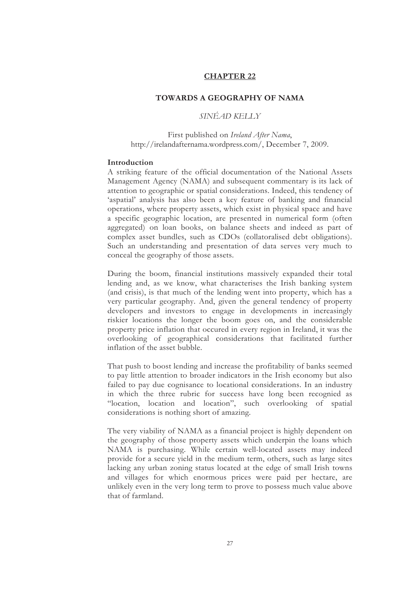### **CHAPTER 22**

## **TOWARDS A GEOGRAPHY OF NAMA**

*SINÉAD KELLY* 

First published on *Ireland After Nama*, http://irelandafternama.wordpress.com/, December 7, 2009.

### **Introduction**

A striking feature of the official documentation of the National Assets Management Agency (NAMA) and subsequent commentary is its lack of attention to geographic or spatial considerations. Indeed, this tendency of 'aspatial' analysis has also been a key feature of banking and financial operations, where property assets, which exist in physical space and have a specific geographic location, are presented in numerical form (often aggregated) on loan books, on balance sheets and indeed as part of complex asset bundles, such as CDOs (collatoralised debt obligations). Such an understanding and presentation of data serves very much to conceal the geography of those assets.

During the boom, financial institutions massively expanded their total lending and, as we know, what characterises the Irish banking system (and crisis), is that much of the lending went into property, which has a very particular geography. And, given the general tendency of property developers and investors to engage in developments in increasingly riskier locations the longer the boom goes on, and the considerable property price inflation that occured in every region in Ireland, it was the overlooking of geographical considerations that facilitated further inflation of the asset bubble.

That push to boost lending and increase the profitability of banks seemed to pay little attention to broader indicators in the Irish economy but also failed to pay due cognisance to locational considerations. In an industry in which the three rubric for success have long been recognied as "location, location and location", such overlooking of spatial considerations is nothing short of amazing.

The very viability of NAMA as a financial project is highly dependent on the geography of those property assets which underpin the loans which NAMA is purchasing. While certain well-located assets may indeed provide for a secure yield in the medium term, others, such as large sites lacking any urban zoning status located at the edge of small Irish towns and villages for which enormous prices were paid per hectare, are unlikely even in the very long term to prove to possess much value above that of farmland.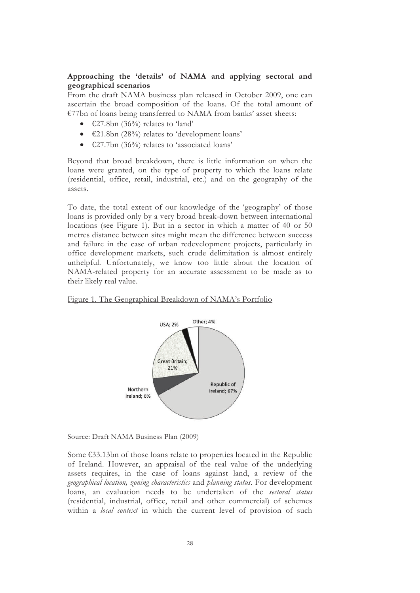# **Approaching the 'details' of NAMA and applying sectoral and geographical scenarios**

From the draft NAMA business plan released in October 2009, one can ascertain the broad composition of the loans. Of the total amount of €77bn of loans being transferred to NAMA from banks' asset sheets:

- $\epsilon$ 27.8bn (36%) relates to 'land'
- €21.8bn (28%) relates to 'development loans'
- $\bullet$   $\in$  27.7bn (36%) relates to 'associated loans'

Beyond that broad breakdown, there is little information on when the loans were granted, on the type of property to which the loans relate (residential, office, retail, industrial, etc.) and on the geography of the assets.

To date, the total extent of our knowledge of the 'geography' of those loans is provided only by a very broad break-down between international locations (see Figure 1). But in a sector in which a matter of 40 or 50 metres distance between sites might mean the difference between success and failure in the case of urban redevelopment projects, particularly in office development markets, such crude delimitation is almost entirely unhelpful. Unfortunately, we know too little about the location of NAMA-related property for an accurate assessment to be made as to their likely real value.

### Figure 1. The Geographical Breakdown of NAMA's Portfolio



Source: Draft NAMA Business Plan (2009)

Some €33.13bn of those loans relate to properties located in the Republic of Ireland. However, an appraisal of the real value of the underlying assets requires, in the case of loans against land, a review of the *geographical location, zoning characteristics* and *planning status*. For development loans, an evaluation needs to be undertaken of the *sectoral status* (residential, industrial, office, retail and other commercial) of schemes within a *local context* in which the current level of provision of such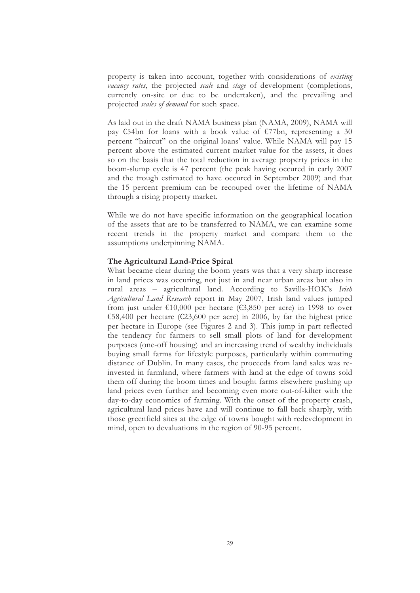property is taken into account, together with considerations of *existing vacancy rates*, the projected *scale* and *stage* of development (completions, currently on-site or due to be undertaken), and the prevailing and projected *scales of demand* for such space.

As laid out in the draft NAMA business plan (NAMA, 2009), NAMA will pay  $\epsilon$ 54bn for loans with a book value of  $\epsilon$ 77bn, representing a 30 percent "haircut" on the original loans' value. While NAMA will pay 15 percent above the estimated current market value for the assets, it does so on the basis that the total reduction in average property prices in the boom-slump cycle is 47 percent (the peak having occured in early 2007 and the trough estimated to have occured in September 2009) and that the 15 percent premium can be recouped over the lifetime of NAMA through a rising property market.

While we do not have specific information on the geographical location of the assets that are to be transferred to NAMA, we can examine some recent trends in the property market and compare them to the assumptions underpinning NAMA.

### **The Agricultural Land-Price Spiral**

What became clear during the boom years was that a very sharp increase in land prices was occuring, not just in and near urban areas but also in rural areas – agricultural land. According to Savills-HOK's *Irish Agricultural Land Research* report in May 2007, Irish land values jumped from just under  $\text{\textsterling}10,000$  per hectare ( $\text{\textsterling}3,850$  per acre) in 1998 to over €58,400 per hectare (€23,600 per acre) in 2006, by far the highest price per hectare in Europe (see Figures 2 and 3). This jump in part reflected the tendency for farmers to sell small plots of land for development purposes (one-off housing) and an increasing trend of wealthy individuals buying small farms for lifestyle purposes, particularly within commuting distance of Dublin. In many cases, the proceeds from land sales was reinvested in farmland, where farmers with land at the edge of towns sold them off during the boom times and bought farms elsewhere pushing up land prices even further and becoming even more out-of-kilter with the day-to-day economics of farming. With the onset of the property crash, agricultural land prices have and will continue to fall back sharply, with those greenfield sites at the edge of towns bought with redevelopment in mind, open to devaluations in the region of 90-95 percent.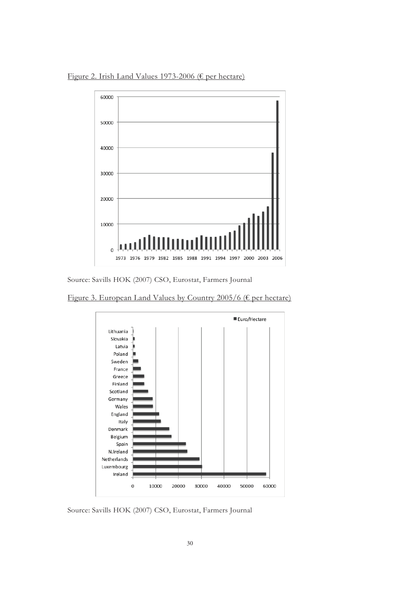Figure 2. Irish Land Values 1973-2006 (€ per hectare)



Source: Savills HOK (2007) CSO, Eurostat, Farmers Journal

Figure 3. European Land Values by Country 2005/6 (€ per hectare)



Source: Savills HOK (2007) CSO, Eurostat, Farmers Journal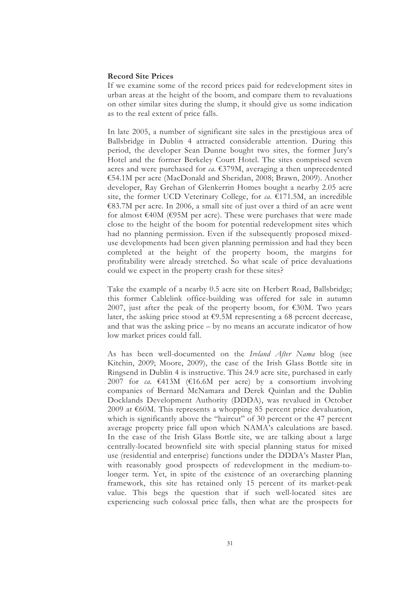### **Record Site Prices**

If we examine some of the record prices paid for redevelopment sites in urban areas at the height of the boom, and compare them to revaluations on other similar sites during the slump, it should give us some indication as to the real extent of price falls.

In late 2005, a number of significant site sales in the prestigious area of Ballsbridge in Dublin 4 attracted considerable attention. During this period, the developer Sean Dunne bought two sites, the former Jury's Hotel and the former Berkeley Court Hotel. The sites comprised seven acres and were purchased for *ca.* €379M, averaging a then unprecedented €54.1M per acre (MacDonald and Sheridan, 2008; Brawn, 2009). Another developer, Ray Grehan of Glenkerrin Homes bought a nearby 2.05 acre site, the former UCD Veterinary College, for  $ca$  €171.5M, an incredible €83.7M per acre. In 2006, a small site of just over a third of an acre went for almost  $\epsilon$ 40M ( $\epsilon$ 95M per acre). These were purchases that were made close to the height of the boom for potential redevelopment sites which had no planning permission. Even if the subsequently proposed mixeduse developments had been given planning permission and had they been completed at the height of the property boom, the margins for profitability were already stretched. So what scale of price devaluations could we expect in the property crash for these sites?

Take the example of a nearby 0.5 acre site on Herbert Road, Ballsbridge; this former Cablelink office-building was offered for sale in autumn 2007, just after the peak of the property boom, for  $\epsilon$ 30M. Two years later, the asking price stood at  $\epsilon$ 9.5M representing a 68 percent decrease, and that was the asking price – by no means an accurate indicator of how low market prices could fall.

As has been well-documented on the *Ireland After Nama* blog (see Kitchin, 2009; Moore, 2009), the case of the Irish Glass Bottle site in Ringsend in Dublin 4 is instructive. This 24.9 acre site, purchased in early 2007 for *ca.*  $\epsilon$ 413M ( $\epsilon$ 16.6M per acre) by a consortium involving companies of Bernard McNamara and Derek Quinlan and the Dublin Docklands Development Authority (DDDA), was revalued in October 2009 at  $\epsilon$ 60M. This represents a whopping 85 percent price devaluation, which is significantly above the "haircut" of 30 percent or the 47 percent average property price fall upon which NAMA's calculations are based. In the case of the Irish Glass Bottle site, we are talking about a large centrally-located brownfield site with special planning status for mixed use (residential and enterprise) functions under the DDDA's Master Plan, with reasonably good prospects of redevelopment in the medium-tolonger term. Yet, in spite of the existence of an overarching planning framework, this site has retained only 15 percent of its market-peak value. This begs the question that if such well-located sites are experiencing such colossal price falls, then what are the prospects for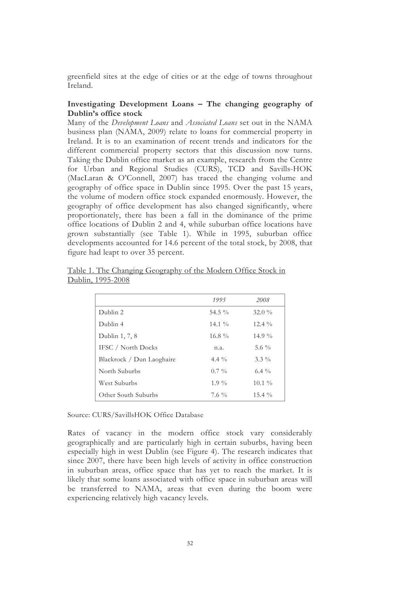greenfield sites at the edge of cities or at the edge of towns throughout Ireland.

## **Investigating Development Loans – The changing geography of Dublin's office stock**

Many of the *Development Loans* and *Associated Loans* set out in the NAMA business plan (NAMA, 2009) relate to loans for commercial property in Ireland. It is to an examination of recent trends and indicators for the different commercial property sectors that this discussion now turns. Taking the Dublin office market as an example, research from the Centre for Urban and Regional Studies (CURS), TCD and Savills-HOK (MacLaran & O'Connell, 2007) has traced the changing volume and geography of office space in Dublin since 1995. Over the past 15 years, the volume of modern office stock expanded enormously. However, the geography of office development has also changed significantly, where proportionately, there has been a fall in the dominance of the prime office locations of Dublin 2 and 4, while suburban office locations have grown substantially (see Table 1). While in 1995, suburban office developments accounted for 14.6 percent of the total stock, by 2008, that figure had leapt to over 35 percent.

|                           | 1995              | 2008      |
|---------------------------|-------------------|-----------|
| Dublin 2                  | 54.5 $\%$         | $32.0 \%$ |
| Dublin 4                  | $14.1\%$          | $12.4\%$  |
| Dublin 1, 7, 8            | $16.8\%$          | $14.9\%$  |
| IFSC / North Docks        | n.a.              | 5.6 $\%$  |
| Blackrock / Dun Laoghaire | 4.4 $\frac{9}{6}$ | $3.3\%$   |
| North Suburbs             | $0.7\%$           | $6.4\%$   |
| West Suburbs              | $1.9\%$           | $10.1\%$  |
| Other South Suburbs       | $7.6\%$           | $15.4\%$  |

Table 1. The Changing Geography of the Modern Office Stock in Dublin, 1995-2008

Source: CURS/SavillsHOK Office Database

Rates of vacancy in the modern office stock vary considerably geographically and are particularly high in certain suburbs, having been especially high in west Dublin (see Figure 4). The research indicates that since 2007, there have been high levels of activity in office construction in suburban areas, office space that has yet to reach the market. It is likely that some loans associated with office space in suburban areas will be transferred to NAMA, areas that even during the boom were experiencing relatively high vacancy levels.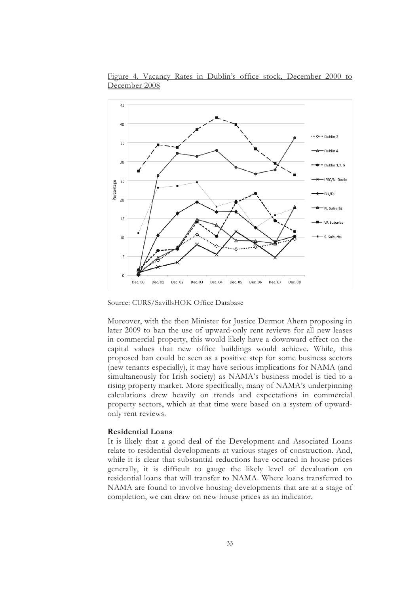

Figure 4. Vacancy Rates in Dublin's office stock, December 2000 to December 2008

Source: CURS/SavillsHOK Office Database

Moreover, with the then Minister for Justice Dermot Ahern proposing in later 2009 to ban the use of upward-only rent reviews for all new leases in commercial property, this would likely have a downward effect on the capital values that new office buildings would achieve. While, this proposed ban could be seen as a positive step for some business sectors (new tenants especially), it may have serious implications for NAMA (and simultaneously for Irish society) as NAMA's business model is tied to a rising property market. More specifically, many of NAMA's underpinning calculations drew heavily on trends and expectations in commercial property sectors, which at that time were based on a system of upwardonly rent reviews.

#### **Residential Loans**

It is likely that a good deal of the Development and Associated Loans relate to residential developments at various stages of construction. And, while it is clear that substantial reductions have occured in house prices generally, it is difficult to gauge the likely level of devaluation on residential loans that will transfer to NAMA. Where loans transferred to NAMA are found to involve housing developments that are at a stage of completion, we can draw on new house prices as an indicator.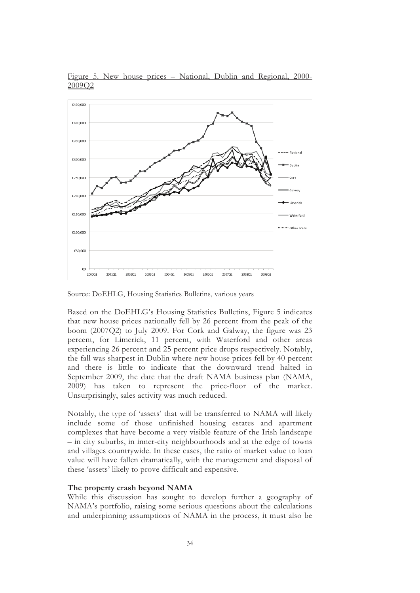

Figure 5. New house prices – National, Dublin and Regional, 2000- 2009Q2

Source: DoEHLG, Housing Statistics Bulletins, various years

Based on the DoEHLG's Housing Statistics Bulletins, Figure 5 indicates that new house prices nationally fell by 26 percent from the peak of the boom (2007Q2) to July 2009. For Cork and Galway, the figure was 23 percent, for Limerick, 11 percent, with Waterford and other areas experiencing 26 percent and 25 percent price drops respectively. Notably, the fall was sharpest in Dublin where new house prices fell by 40 percent and there is little to indicate that the downward trend halted in September 2009, the date that the draft NAMA business plan (NAMA, 2009) has taken to represent the price-floor of the market. Unsurprisingly, sales activity was much reduced.

Notably, the type of 'assets' that will be transferred to NAMA will likely include some of those unfinished housing estates and apartment complexes that have become a very visible feature of the Irish landscape – in city suburbs, in inner-city neighbourhoods and at the edge of towns and villages countrywide. In these cases, the ratio of market value to loan value will have fallen dramatically, with the management and disposal of these 'assets' likely to prove difficult and expensive.

### **The property crash beyond NAMA**

While this discussion has sought to develop further a geography of NAMA's portfolio, raising some serious questions about the calculations and underpinning assumptions of NAMA in the process, it must also be